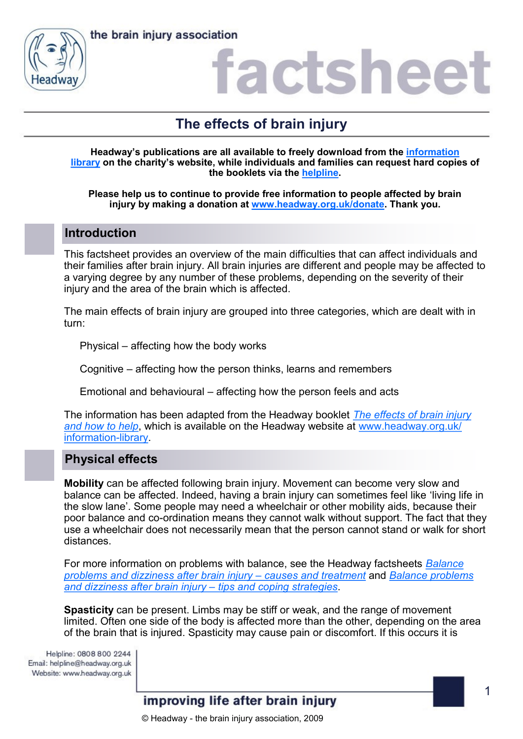



### actshee

### **The effects of brain injury**

**Headway's publications are all available to freely download from the [information](https://www.headway.org.uk/about-brain-injury/individuals/information-library/)  [library](https://www.headway.org.uk/about-brain-injury/individuals/information-library/) on the charity's website, while individuals and families can request hard copies of the booklets via the [helpline.](https://www.headway.org.uk/supporting-you/helpline/)**

**Please help us to continue to provide free information to people affected by brain injury by making a donation at [www.headway.org.uk/donate.](http://www.headway.org.uk/donate) Thank you.**

#### **Introduction**

This factsheet provides an overview of the main difficulties that can affect individuals and their families after brain injury. All brain injuries are different and people may be affected to a varying degree by any number of these problems, depending on the severity of their injury and the area of the brain which is affected.

The main effects of brain injury are grouped into three categories, which are dealt with in turn:

Physical – affecting how the body works

Cognitive – affecting how the person thinks, learns and remembers

Emotional and behavioural – affecting how the person feels and acts

The information has been adapted from the Headway booklet *[The effects of brain injury](https://www.headway.org.uk/media/7600/the-effects-of-brain-injury-and-how-to-help-e-booklet.pdf)  [and how to help](https://www.headway.org.uk/media/7600/the-effects-of-brain-injury-and-how-to-help-e-booklet.pdf)*, which is available on the Headway website at [www.headway.org.uk/](http://www.headway.org.uk/information-library) [information](http://www.headway.org.uk/information-library)-library.

#### **Physical effects**

**Mobility** can be affected following brain injury. Movement can become very slow and balance can be affected. Indeed, having a brain injury can sometimes feel like 'living life in the slow lane'. Some people may need a wheelchair or other mobility aids, because their poor balance and co-ordination means they cannot walk without support. The fact that they use a wheelchair does not necessarily mean that the person cannot stand or walk for short distances.

For more information on problems with balance, see the Headway factsheets *[Balance](https://www.headway.org.uk/media/2786/balance-problems-and-dizziness-after-brain-injury-causes-and-treatment-factsheet.pdf)  [problems and dizziness after brain injury –](https://www.headway.org.uk/media/2786/balance-problems-and-dizziness-after-brain-injury-causes-and-treatment-factsheet.pdf) causes and treatment* and *[Balance problems](https://www.headway.org.uk/media/2787/balance-problems-and-dizziness-after-brain-injury-tips-and-coping-strategies-factsheet.pdf)  [and dizziness after brain injury –](https://www.headway.org.uk/media/2787/balance-problems-and-dizziness-after-brain-injury-tips-and-coping-strategies-factsheet.pdf) tips and coping strategies*.

**Spasticity** can be present. Limbs may be stiff or weak, and the range of movement limited. Often one side of the body is affected more than the other, depending on the area of the brain that is injured. Spasticity may cause pain or discomfort. If this occurs it is

Helpline: 0808 800 2244 Email: helpline@headway.org.uk Website: www.headway.org.uk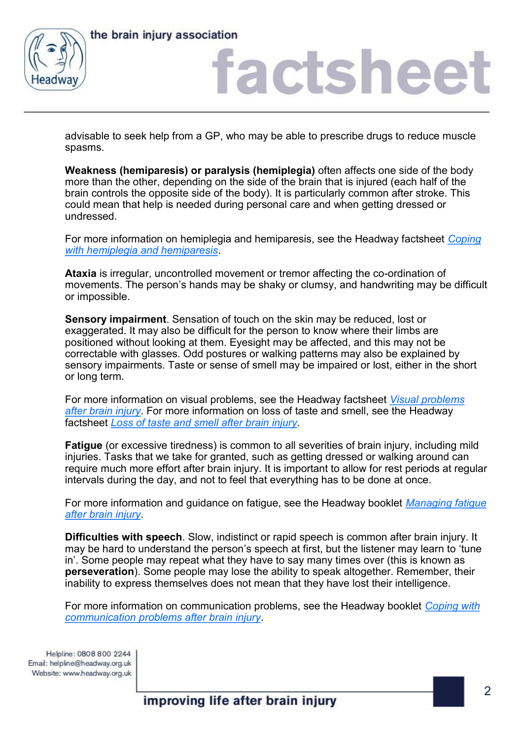

the brain injury association

### factshee

advisable to seek help from a GP, who may be able to prescribe drugs to reduce muscle spasms.

**Weakness (hemiparesis) or paralysis (hemiplegia)** often affects one side of the body more than the other, depending on the side of the brain that is injured (each half of the brain controls the opposite side of the body). It is particularly common after stroke. This could mean that help is needed during personal care and when getting dressed or undressed.

For more information on hemiplegia and hemiparesis, see the Headway factsheet *[Coping](https://www.headway.org.uk/media/2796/coping-with-hemiplegia-and-hemiparesis-factsheet.pdf)  [with hemiplegia and hemiparesis](https://www.headway.org.uk/media/2796/coping-with-hemiplegia-and-hemiparesis-factsheet.pdf)*.

**Ataxia** is irregular, uncontrolled movement or tremor affecting the co-ordination of movements. The person's hands may be shaky or clumsy, and handwriting may be difficult or impossible.

**Sensory impairment**. Sensation of touch on the skin may be reduced, lost or exaggerated. It may also be difficult for the person to know where their limbs are positioned without looking at them. Eyesight may be affected, and this may not be correctable with glasses. Odd postures or walking patterns may also be explained by sensory impairments. Taste or sense of smell may be impaired or lost, either in the short or long term.

For more information on visual problems, see the Headway factsheet *[Visual problems](https://www.headway.org.uk/media/5967/visual-problems-after-brain-injury-factsheet.pdf)  [after brain injury](https://www.headway.org.uk/media/5967/visual-problems-after-brain-injury-factsheet.pdf)*. For more information on loss of taste and smell, see the Headway factsheet *[Loss of taste and smell after brain injury](https://www.headway.org.uk/media/2805/loss-of-taste-and-smell-factsheet.pdf)*.

**Fatigue** (or excessive tiredness) is common to all severities of brain injury, including mild injuries. Tasks that we take for granted, such as getting dressed or walking around can require much more effort after brain injury. It is important to allow for rest periods at regular intervals during the day, and not to feel that everything has to be done at once.

For more information and guidance on fatigue, see the Headway booklet *[Managing fatigue](https://www.headway.org.uk/media/6580/managing-fatigue-e-booklet.pdf)  [after brain injury](https://www.headway.org.uk/media/6580/managing-fatigue-e-booklet.pdf)*.

**Difficulties with speech**. Slow, indistinct or rapid speech is common after brain injury. It may be hard to understand the person's speech at first, but the listener may learn to 'tune in'. Some people may repeat what they have to say many times over (this is known as **perseveration**). Some people may lose the ability to speak altogether. Remember, their inability to express themselves does not mean that they have lost their intelligence.

For more information on communication problems, see the Headway booklet *[Coping with](https://www.headway.org.uk/media/3991/coping-with-communication-problems-e-booklet.pdf)  [communication problems after brain injury](https://www.headway.org.uk/media/3991/coping-with-communication-problems-e-booklet.pdf)*.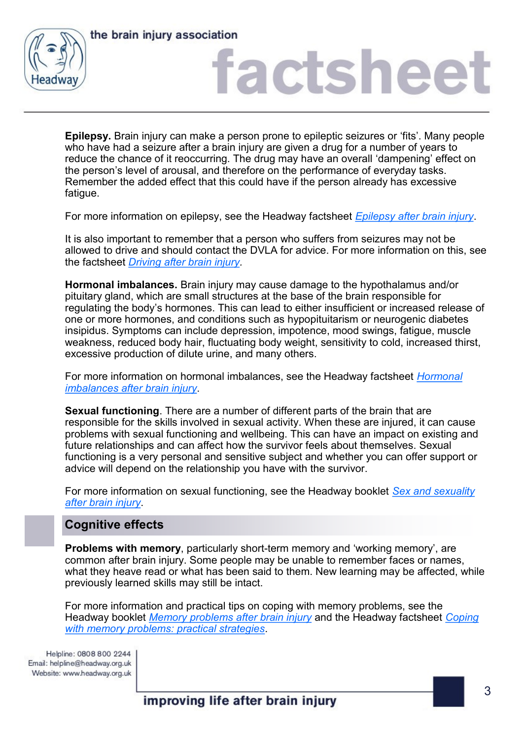



# factsheet

**Epilepsy.** Brain injury can make a person prone to epileptic seizures or 'fits'. Many people who have had a seizure after a brain injury are given a drug for a number of years to reduce the chance of it reoccurring. The drug may have an overall 'dampening' effect on the person's level of arousal, and therefore on the performance of everyday tasks. Remember the added effect that this could have if the person already has excessive fatigue.

For more information on epilepsy, see the Headway factsheet *[Epilepsy after brain injury](https://www.headway.org.uk/media/2800/epilepsy-after-brain-injury-factsheet.pdf)*.

It is also important to remember that a person who suffers from seizures may not be allowed to drive and should contact the DVLA for advice. For more information on this, see the factsheet *[Driving after brain injury.](https://www.headway.org.uk/media/7040/driving-after-brain-injury-e-booklet.pdf)* 

**Hormonal imbalances.** Brain injury may cause damage to the hypothalamus and/or pituitary gland, which are small structures at the base of the brain responsible for regulating the body's hormones. This can lead to either insufficient or increased release of one or more hormones, and conditions such as hypopituitarism or neurogenic diabetes insipidus. Symptoms can include depression, impotence, mood swings, fatigue, muscle weakness, reduced body hair, fluctuating body weight, sensitivity to cold, increased thirst, excessive production of dilute urine, and many others.

For more information on hormonal imbalances, see the Headway factsheet *[Hormonal](https://www.headway.org.uk/media/2803/hormonal-imbalances-after-brain-injury-with-rcgp-endorsement.pdf)  [imbalances after brain injury](https://www.headway.org.uk/media/2803/hormonal-imbalances-after-brain-injury-with-rcgp-endorsement.pdf)*.

**Sexual functioning**. There are a number of different parts of the brain that are responsible for the skills involved in sexual activity. When these are injured, it can cause problems with sexual functioning and wellbeing. This can have an impact on existing and future relationships and can affect how the survivor feels about themselves. Sexual functioning is a very personal and sensitive subject and whether you can offer support or advice will depend on the relationship you have with the survivor.

For more information on sexual functioning, see the Headway booklet *[Sex and sexuality](https://www.headway.org.uk/media/4995/sex-and-sexuality-after-brain-injury-e-booklet.pdf)  [after brain injury](https://www.headway.org.uk/media/4995/sex-and-sexuality-after-brain-injury-e-booklet.pdf)*.

#### **Cognitive effects**

**Problems with memory**, particularly short-term memory and 'working memory', are common after brain injury. Some people may be unable to remember faces or names, what they heave read or what has been said to them. New learning may be affected, while previously learned skills may still be intact.

For more information and practical tips on coping with memory problems, see the Headway booklet *[Memory problems after brain injury](https://www.headway.org.uk/media/3996/memory-problems-after-brain-injury-e-booklet.pdf)* and the Headway factsheet *[Coping](https://www.headway.org.uk/media/6817/coping-with-memory-problems-practical-strategies-factsheet.pdf)  [with memory problems: practical strategies](https://www.headway.org.uk/media/6817/coping-with-memory-problems-practical-strategies-factsheet.pdf)*.

Helpline: 0808 800 2244 Email: helpline@headway.org.uk Website: www.headway.org.uk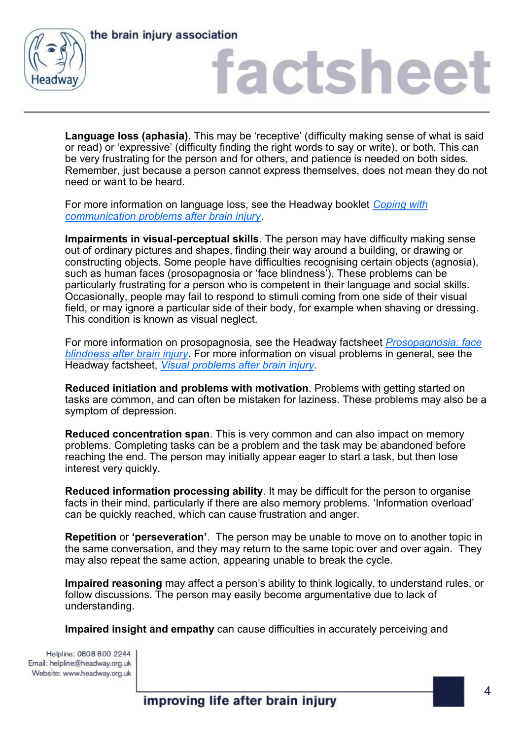



### factshee

**Language loss (aphasia).** This may be 'receptive' (difficulty making sense of what is said or read) or 'expressive' (difficulty finding the right words to say or write), or both. This can be very frustrating for the person and for others, and patience is needed on both sides. Remember, just because a person cannot express themselves, does not mean they do not need or want to be heard.

For more information on language loss, see the Headway booklet *[Coping with](https://www.headway.org.uk/media/3991/coping-with-communication-problems-e-booklet.pdf)  [communication problems after brain injury](https://www.headway.org.uk/media/3991/coping-with-communication-problems-e-booklet.pdf)*.

**Impairments in visual-perceptual skills**. The person may have difficulty making sense out of ordinary pictures and shapes, finding their way around a building, or drawing or constructing objects. Some people have difficulties recognising certain objects (agnosia), such as human faces (prosopagnosia or 'face blindness'). These problems can be particularly frustrating for a person who is competent in their language and social skills. Occasionally, people may fail to respond to stimuli coming from one side of their visual field, or may ignore a particular side of their body, for example when shaving or dressing. This condition is known as visual neglect.

For more information on prosopagnosia, see the Headway factsheet *[Prosopagnosia: face](https://www.headway.org.uk/media/2816/prosopagnosia-face-blindness-after-brain-injury-factsheet.pdf)  [blindness after brain injury](https://www.headway.org.uk/media/2816/prosopagnosia-face-blindness-after-brain-injury-factsheet.pdf)*. For more information on visual problems in general, see the Headway factsheet, *[Visual problems after brain injury](https://www.headway.org.uk/media/5967/visual-problems-after-brain-injury-factsheet.pdf)*.

**Reduced initiation and problems with motivation**. Problems with getting started on tasks are common, and can often be mistaken for laziness. These problems may also be a symptom of depression.

**Reduced concentration span**. This is very common and can also impact on memory problems. Completing tasks can be a problem and the task may be abandoned before reaching the end. The person may initially appear eager to start a task, but then lose interest very quickly.

**Reduced information processing ability**. It may be difficult for the person to organise facts in their mind, particularly if there are also memory problems. 'Information overload' can be quickly reached, which can cause frustration and anger.

**Repetition** or **'perseveration'**. The person may be unable to move on to another topic in the same conversation, and they may return to the same topic over and over again. They may also repeat the same action, appearing unable to break the cycle.

**Impaired reasoning** may affect a person's ability to think logically, to understand rules, or follow discussions. The person may easily become argumentative due to lack of understanding.

**Impaired insight and empathy** can cause difficulties in accurately perceiving and

Helpline: 0808 800 2244 Email: helpline@headway.org.uk Website: www.headway.org.uk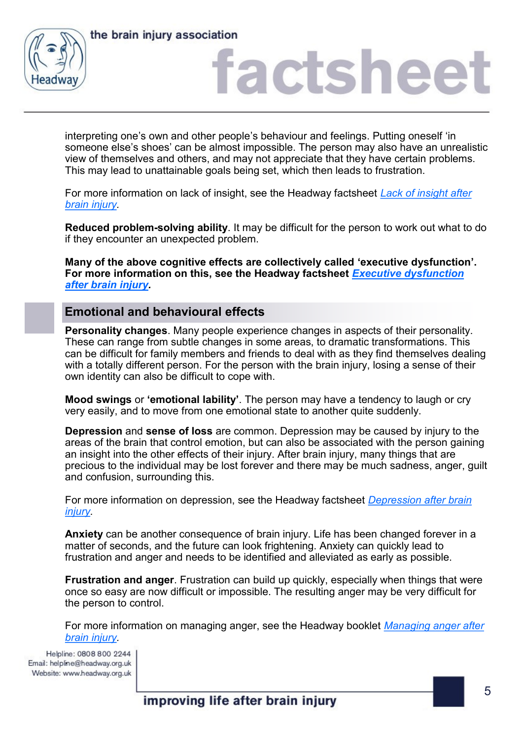



## factsheet

interpreting one's own and other people's behaviour and feelings. Putting oneself 'in someone else's shoes' can be almost impossible. The person may also have an unrealistic view of themselves and others, and may not appreciate that they have certain problems. This may lead to unattainable goals being set, which then leads to frustration.

For more information on lack of insight, see the Headway factsheet *[Lack of insight after](https://www.headway.org.uk/media/4091/lack-of-insight-after-brain-injury-factsheet.pdf)  [brain injury.](https://www.headway.org.uk/media/4091/lack-of-insight-after-brain-injury-factsheet.pdf)* 

**Reduced problem-solving ability**. It may be difficult for the person to work out what to do if they encounter an unexpected problem.

**Many of the above cognitive effects are collectively called 'executive dysfunction'. For more information on this, see the Headway factsheet** *[Executive dysfunction](https://www.headway.org.uk/media/2801/executive-dysfunction-after-brain-injury-factsheet.pdf)  [after brain injury.](https://www.headway.org.uk/media/2801/executive-dysfunction-after-brain-injury-factsheet.pdf)*

#### **Emotional and behavioural effects**

**Personality changes**. Many people experience changes in aspects of their personality. These can range from subtle changes in some areas, to dramatic transformations. This can be difficult for family members and friends to deal with as they find themselves dealing with a totally different person. For the person with the brain injury, losing a sense of their own identity can also be difficult to cope with.

**Mood swings** or **'emotional lability'**. The person may have a tendency to laugh or cry very easily, and to move from one emotional state to another quite suddenly.

**Depression** and **sense of loss** are common. Depression may be caused by injury to the areas of the brain that control emotion, but can also be associated with the person gaining an insight into the other effects of their injury. After brain injury, many things that are precious to the individual may be lost forever and there may be much sadness, anger, guilt and confusion, surrounding this.

For more information on depression, see the Headway factsheet *[Depression after brain](https://www.headway.org.uk/media/7324/depression-after-brain-injury-factsheet.pdf)  [injury.](https://www.headway.org.uk/media/7324/depression-after-brain-injury-factsheet.pdf)* 

**Anxiety** can be another consequence of brain injury. Life has been changed forever in a matter of seconds, and the future can look frightening. Anxiety can quickly lead to frustration and anger and needs to be identified and alleviated as early as possible.

**Frustration and anger**. Frustration can build up quickly, especially when things that were once so easy are now difficult or impossible. The resulting anger may be very difficult for the person to control.

For more information on managing anger, see the Headway booklet *[Managing anger after](https://www.headway.org.uk/media/3994/managing-anger-e-booklet.pdf)  [brain injury.](https://www.headway.org.uk/media/3994/managing-anger-e-booklet.pdf)*

Helpline: 0808 800 2244<br>Email: helpline@headway.org.uk Website: www.headway.org.uk